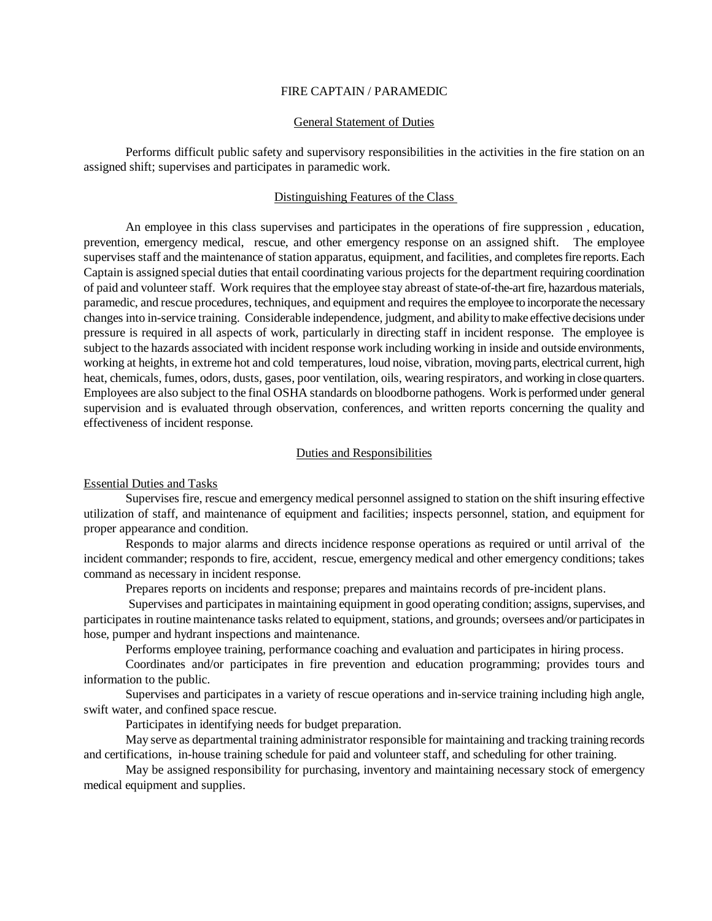## FIRE CAPTAIN / PARAMEDIC

# General Statement of Duties

Performs difficult public safety and supervisory responsibilities in the activities in the fire station on an assigned shift; supervises and participates in paramedic work.

# Distinguishing Features of the Class

An employee in this class supervises and participates in the operations of fire suppression , education, prevention, emergency medical, rescue, and other emergency response on an assigned shift. The employee supervises staff and the maintenance of station apparatus, equipment, and facilities, and completes fire reports. Each Captain is assigned special duties that entail coordinating various projects for the department requiring coordination of paid and volunteer staff. Work requires that the employee stay abreast of state-of-the-art fire, hazardous materials, paramedic, and rescue procedures, techniques, and equipment and requires the employee to incorporate the necessary changes into in-service training. Considerable independence, judgment, and ability to make effective decisions under pressure is required in all aspects of work, particularly in directing staff in incident response. The employee is subject to the hazards associated with incident response work including working in inside and outside environments, working at heights, in extreme hot and cold temperatures, loud noise, vibration, moving parts, electrical current, high heat, chemicals, fumes, odors, dusts, gases, poor ventilation, oils, wearing respirators, and working in close quarters. Employees are also subject to the final OSHA standards on bloodborne pathogens. Work is performed under general supervision and is evaluated through observation, conferences, and written reports concerning the quality and effectiveness of incident response.

## Duties and Responsibilities

Essential Duties and Tasks

Supervises fire, rescue and emergency medical personnel assigned to station on the shift insuring effective utilization of staff, and maintenance of equipment and facilities; inspects personnel, station, and equipment for proper appearance and condition.

Responds to major alarms and directs incidence response operations as required or until arrival of the incident commander; responds to fire, accident, rescue, emergency medical and other emergency conditions; takes command as necessary in incident response.

Prepares reports on incidents and response; prepares and maintains records of pre-incident plans.

Supervises and participates in maintaining equipment in good operating condition; assigns, supervises, and participates in routine maintenance tasks related to equipment, stations, and grounds; oversees and/or participates in hose, pumper and hydrant inspections and maintenance.

Performs employee training, performance coaching and evaluation and participates in hiring process.

Coordinates and/or participates in fire prevention and education programming; provides tours and information to the public.

Supervises and participates in a variety of rescue operations and in-service training including high angle, swift water, and confined space rescue.

Participates in identifying needs for budget preparation.

May serve as departmental training administrator responsible for maintaining and tracking training records and certifications, in-house training schedule for paid and volunteer staff, and scheduling for other training.

May be assigned responsibility for purchasing, inventory and maintaining necessary stock of emergency medical equipment and supplies.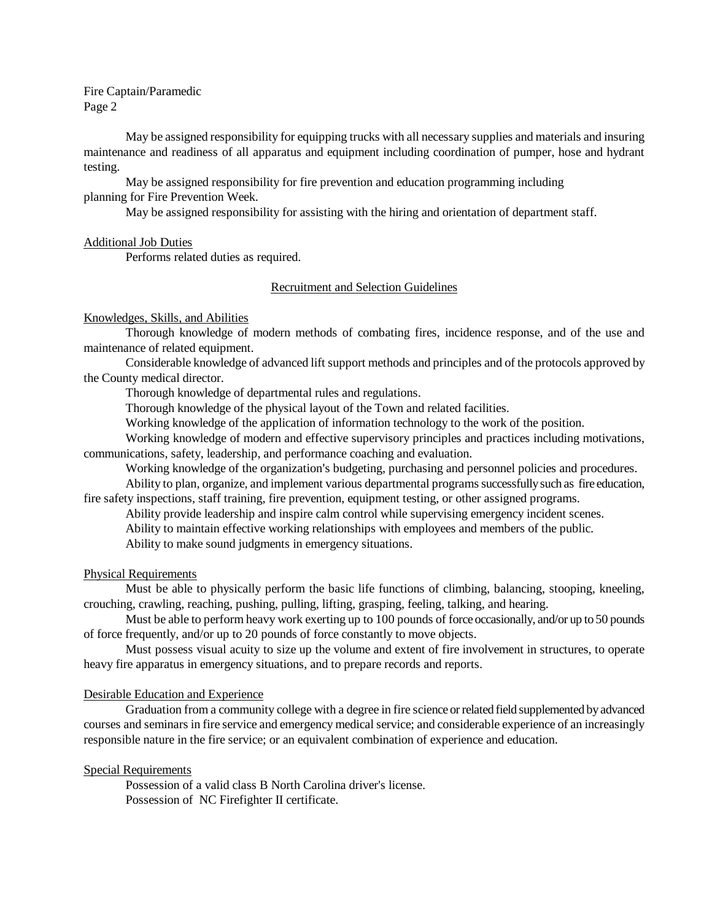Fire Captain/Paramedic Page 2

May be assigned responsibility for equipping trucks with all necessary supplies and materials and insuring maintenance and readiness of all apparatus and equipment including coordination of pumper, hose and hydrant testing.

May be assigned responsibility for fire prevention and education programming including planning for Fire Prevention Week.

May be assigned responsibility for assisting with the hiring and orientation of department staff.

### Additional Job Duties

Performs related duties as required.

# Recruitment and Selection Guidelines

# Knowledges, Skills, and Abilities

Thorough knowledge of modern methods of combating fires, incidence response, and of the use and maintenance of related equipment.

Considerable knowledge of advanced lift support methods and principles and of the protocols approved by the County medical director.

Thorough knowledge of departmental rules and regulations.

Thorough knowledge of the physical layout of the Town and related facilities.

Working knowledge of the application of information technology to the work of the position.

Working knowledge of modern and effective supervisory principles and practices including motivations, communications, safety, leadership, and performance coaching and evaluation.

Working knowledge of the organization's budgeting, purchasing and personnel policies and procedures.

Ability to plan, organize, and implement various departmental programs successfully such as fire education, fire safety inspections, staff training, fire prevention, equipment testing, or other assigned programs.

Ability provide leadership and inspire calm control while supervising emergency incident scenes.

Ability to maintain effective working relationships with employees and members of the public.

Ability to make sound judgments in emergency situations.

### Physical Requirements

Must be able to physically perform the basic life functions of climbing, balancing, stooping, kneeling, crouching, crawling, reaching, pushing, pulling, lifting, grasping, feeling, talking, and hearing.

Must be able to perform heavy work exerting up to 100 pounds of force occasionally, and/or up to 50 pounds of force frequently, and/or up to 20 pounds of force constantly to move objects.

Must possess visual acuity to size up the volume and extent of fire involvement in structures, to operate heavy fire apparatus in emergency situations, and to prepare records and reports.

## Desirable Education and Experience

Graduation from a community college with a degree in fire science or related field supplemented by advanced courses and seminars in fire service and emergency medical service; and considerable experience of an increasingly responsible nature in the fire service; or an equivalent combination of experience and education.

## Special Requirements

Possession of a valid class B North Carolina driver's license. Possession of NC Firefighter II certificate.